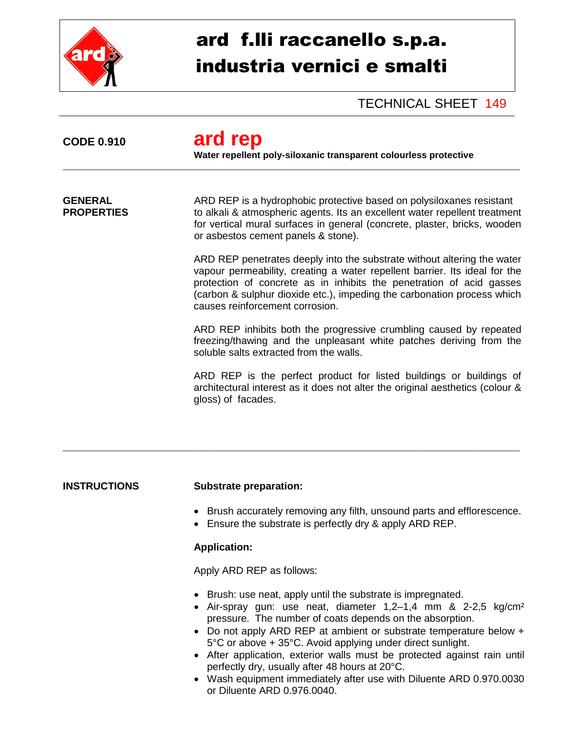

# ard f.lli raccanello s.p.a. industria vernici e smalti

TECHNICAL SHEET 149

| <b>CODE 0.910</b>                   | ard rep<br>Water repellent poly-siloxanic transparent colourless protective                                                                                                                                                                                                                                                                 |
|-------------------------------------|---------------------------------------------------------------------------------------------------------------------------------------------------------------------------------------------------------------------------------------------------------------------------------------------------------------------------------------------|
| <b>GENERAL</b><br><b>PROPERTIES</b> | ARD REP is a hydrophobic protective based on polysiloxanes resistant<br>to alkali & atmospheric agents. Its an excellent water repellent treatment<br>for vertical mural surfaces in general (concrete, plaster, bricks, wooden<br>or asbestos cement panels & stone).                                                                      |
|                                     | ARD REP penetrates deeply into the substrate without altering the water<br>vapour permeability, creating a water repellent barrier. Its ideal for the<br>protection of concrete as in inhibits the penetration of acid gasses<br>(carbon & sulphur dioxide etc.), impeding the carbonation process which<br>causes reinforcement corrosion. |
|                                     | ARD REP inhibits both the progressive crumbling caused by repeated<br>freezing/thawing and the unpleasant white patches deriving from the<br>soluble salts extracted from the walls.                                                                                                                                                        |
|                                     | ARD REP is the perfect product for listed buildings or buildings of<br>architectural interest as it does not alter the original aesthetics (colour &<br>gloss) of facades.                                                                                                                                                                  |
|                                     |                                                                                                                                                                                                                                                                                                                                             |

## **INSTRUCTIONS Substrate preparation:**

- Brush accurately removing any filth, unsound parts and efflorescence.
- **Ensure the substrate is perfectly dry & apply ARD REP.**

## **Application:**

Apply ARD REP as follows:

- Brush: use neat, apply until the substrate is impregnated.
- Air-spray gun: use neat, diameter 1,2–1,4 mm & 2-2,5 kg/cm² pressure. The number of coats depends on the absorption.
- Do not apply ARD REP at ambient or substrate temperature below + 5°C or above + 35°C. Avoid applying under direct sunlight.
- After application, exterior walls must be protected against rain until perfectly dry, usually after 48 hours at 20°C.
- Wash equipment immediately after use with Diluente ARD 0.970.0030 or Diluente ARD 0.976.0040.